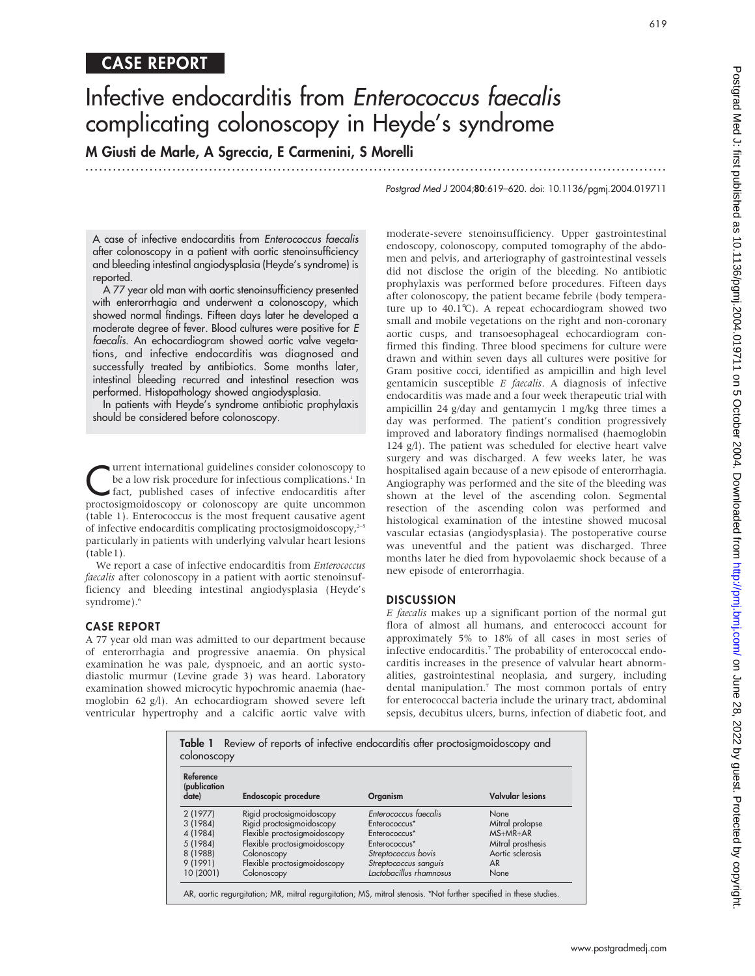# CASE REPORT

# Infective endocarditis from Enterococcus faecalis complicating colonoscopy in Heyde's syndrome

M Giusti de Marle, A Sgreccia, E Carmenini, S Morelli

...............................................................................................................................

Postgrad Med J 2004;80:619–620. doi: 10.1136/pgmj.2004.019711

619

A case of infective endocarditis from Enterococcus faecalis after colonoscopy in a patient with aortic stenoinsufficiency and bleeding intestinal angiodysplasia (Heyde's syndrome) is reported.

A 77 year old man with aortic stenoinsufficiency presented with enterorrhagia and underwent a colonoscopy, which showed normal findings. Fifteen days later he developed a moderate degree of fever. Blood cultures were positive for E faecalis. An echocardiogram showed aortic valve vegetations, and infective endocarditis was diagnosed and successfully treated by antibiotics. Some months later, intestinal bleeding recurred and intestinal resection was performed. Histopathology showed angiodysplasia.

In patients with Heyde's syndrome antibiotic prophylaxis should be considered before colonoscopy.

**CURRENT INTERNATION CONSTRUMENT SURFERENCES CONSTRUMENTS:** In fact, published cases of infective endocarditis after proctocinmoidoscopy or colonoscopy are quite uncommon be a low risk procedure for infectious complications.<sup>1</sup> In fact, published cases of infective endocarditis after proctosigmoidoscopy or colonoscopy are quite uncommon (table 1). Enterococcus is the most frequent causative agent of infective endocarditis complicating proctosigmoidoscopy,<sup>2-5</sup> particularly in patients with underlying valvular heart lesions (table1).

We report a case of infective endocarditis from Enterococcus faecalis after colonoscopy in a patient with aortic stenoinsufficiency and bleeding intestinal angiodysplasia (Heyde's syndrome).<sup>6</sup>

#### CASE REPORT

A 77 year old man was admitted to our department because of enterorrhagia and progressive anaemia. On physical examination he was pale, dyspnoeic, and an aortic systodiastolic murmur (Levine grade 3) was heard. Laboratory examination showed microcytic hypochromic anaemia (haemoglobin 62 g/l). An echocardiogram showed severe left ventricular hypertrophy and a calcific aortic valve with

moderate-severe stenoinsufficiency. Upper gastrointestinal endoscopy, colonoscopy, computed tomography of the abdomen and pelvis, and arteriography of gastrointestinal vessels did not disclose the origin of the bleeding. No antibiotic prophylaxis was performed before procedures. Fifteen days after colonoscopy, the patient became febrile (body temperature up to  $40.1^{\circ}$ C). A repeat echocardiogram showed two small and mobile vegetations on the right and non-coronary aortic cusps, and transoesophageal echocardiogram confirmed this finding. Three blood specimens for culture were drawn and within seven days all cultures were positive for Gram positive cocci, identified as ampicillin and high level gentamicin susceptible E faecalis. A diagnosis of infective endocarditis was made and a four week therapeutic trial with ampicillin 24 g/day and gentamycin 1 mg/kg three times a day was performed. The patient's condition progressively improved and laboratory findings normalised (haemoglobin 124 g/l). The patient was scheduled for elective heart valve surgery and was discharged. A few weeks later, he was hospitalised again because of a new episode of enterorrhagia. Angiography was performed and the site of the bleeding was shown at the level of the ascending colon. Segmental resection of the ascending colon was performed and histological examination of the intestine showed mucosal vascular ectasias (angiodysplasia). The postoperative course was uneventful and the patient was discharged. Three months later he died from hypovolaemic shock because of a new episode of enterorrhagia.

#### DISCUSSION

E faecalis makes up a significant portion of the normal gut flora of almost all humans, and enterococci account for approximately 5% to 18% of all cases in most series of infective endocarditis.<sup>7</sup> The probability of enterococcal endocarditis increases in the presence of valvular heart abnormalities, gastrointestinal neoplasia, and surgery, including dental manipulation.<sup>7</sup> The most common portals of entry for enterococcal bacteria include the urinary tract, abdominal sepsis, decubitus ulcers, burns, infection of diabetic foot, and

| Reference<br>(publication<br>date) | <b>Endoscopic procedure</b>  | Organism                  | <b>Valvular lesions</b> |
|------------------------------------|------------------------------|---------------------------|-------------------------|
| 2(1977)                            | Rigid proctosigmoidoscopy    | Enterococcus faecalis     | None                    |
| 3 (1984)                           | Rigid proctosigmoidoscopy    | Enterococcus <sup>*</sup> | Mitral prolapse         |
| 4 (1984)                           | Flexible proctosigmoidoscopy | Enterococcus <sup>*</sup> | $MS+MR+AR$              |
| 5 (1984)                           | Flexible proctosigmoidoscopy | Enterococcus <sup>*</sup> | Mitral prosthesis       |
| 8 (1988)                           | Colonoscopy                  | Streptococcus bovis       | Aortic sclerosis        |
| 9(1991)                            | Flexible proctosigmoidoscopy | Streptococcus sanguis     | AR                      |
| 10 (2001)                          | Colonoscopy                  | Lactobacillus rhamnosus   | None                    |